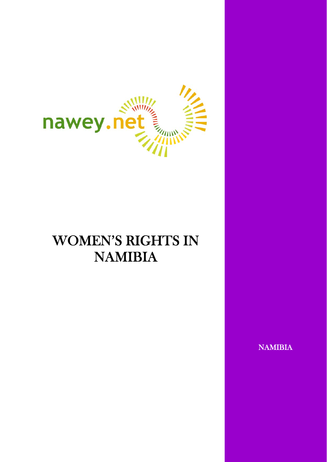

# WOMEN'S RIGHTS IN NAMIBIA

NAMIBIA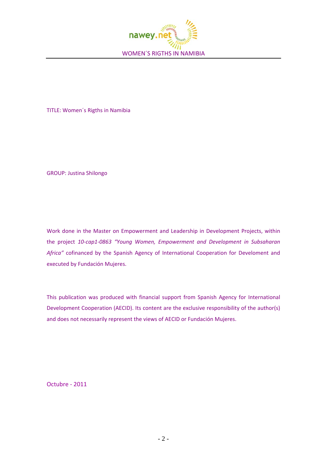

TITLE: Women´s Rigths in Namibia

GROUP: Justina Shilongo

Work done in the Master on Empowerment and Leadership in Development Projects, within the project *10‐cap1‐0863 "Young Women, Empowerment and Development in Subsaharan Africa"* cofinanced by the Spanish Agency of International Cooperation for Develoment and executed by Fundación Mujeres.

This publication was produced with financial support from Spanish Agency for International Development Cooperation (AECID). Its content are the exclusive responsibility of the author(s) and does not necessarily represent the views of AECID or Fundación Mujeres.

Octubre ‐ 2011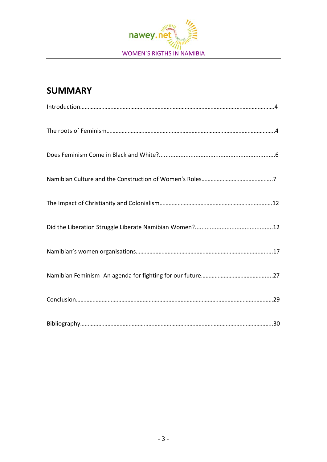

# **SUMMARY**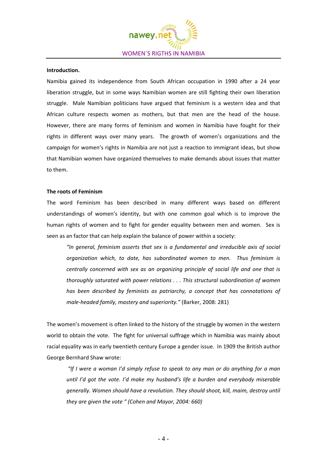

#### **Introduction.**

Namibia gained its independence from South African occupation in 1990 after a 24 year liberation struggle, but in some ways Namibian women are still fighting their own liberation struggle. Male Namibian politicians have argued that feminism is a western idea and that African culture respects women as mothers, but that men are the head of the house. However, there are many forms of feminism and women in Namibia have fought for their rights in different ways over many years. The growth of women's organizations and the campaign for women's rights in Namibia are not just a reaction to immigrant ideas, but show that Namibian women have organized themselves to make demands about issues that matter to them.

#### **The roots of Feminism**

The word Feminism has been described in many different ways based on different understandings of women's identity, but with one common goal which is to improve the human rights of women and to fight for gender equality between men and women. Sex is seen as an factor that can help explain the balance of power within a society:

*"In general, feminism asserts that sex is a fundamental and irreducible axis of social organization which, to date, has subordinated women to men. Thus feminism is centrally concerned with sex as an organizing principle of social life and one that is thoroughly saturated with power relations . . . This structural subordination of women has been described by feminists as patriarchy, a concept that has connotations of male‐headed family, mastery and superiority."* (Barker, 2008: 281)

The women's movement is often linked to the history of the struggle by women in the western world to obtain the vote. The fight for universal suffrage which in Namibia was mainly about racial equality was in early twentieth century Europe a gender issue. In 1909 the British author George Bernhard Shaw wrote:

*"If I were a woman I'd simply refuse to speak to any man or do anything for a man until I'd got the vote. I'd make my husband's life a burden and everybody miserable generally. Women should have a revolution. They should shoot, kill, maim, destroy until they are given the vote " (Cohen and Mayor, 2004: 660)*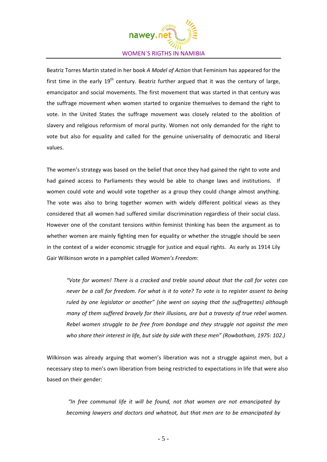

Beatriz Torres Martin stated in her book *A Model of Action* that Feminism has appeared for the first time in the early  $19<sup>th</sup>$  century. Beatriz further argued that it was the century of large, emancipator and social movements. The first movement that was started in that century was the suffrage movement when women started to organize themselves to demand the right to vote. In the United States the suffrage movement was closely related to the abolition of slavery and religious reformism of moral purity. Women not only demanded for the right to vote but also for equality and called for the genuine universality of democratic and liberal values.

The women's strategy was based on the belief that once they had gained the right to vote and had gained access to Parliaments they would be able to change laws and institutions. If women could vote and would vote together as a group they could change almost anything. The vote was also to bring together women with widely different political views as they considered that all women had suffered similar discrimination regardless of their social class. However one of the constant tensions within feminist thinking has been the argument as to whether women are mainly fighting men for equality or whether the struggle should be seen in the context of a wider economic struggle for justice and equal rights. As early as 1914 Lily Gair Wilkinson wrote in a pamphlet called *Women's Freedom*:

*"Vote for women! There is a cracked and treble sound about that the call for votes can* never be a call for freedom. For what is it to vote? To vote is to register assent to being *ruled by one legislator or another" (she went on saying that the suffragettes) although many of them suffered bravely for their illusions, are but a travesty of true rebel women. Rebel women struggle to be free from bondage and they struggle not against the men who share their interest in life, but side by side with these men" (Rowbotham, 1975: 102.)*

Wilkinson was already arguing that women's liberation was not a struggle against men, but a necessary step to men's own liberation from being restricted to expectations in life that were also based on their gender:

*"In free communal life it will be found, not that women are not emancipated by becoming lawyers and doctors and whatnot, but that men are to be emancipated by*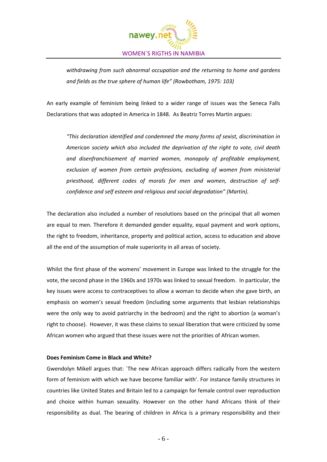

*withdrawing from such abnormal occupation and the returning to home and gardens and fields as the true sphere of human life" (Rowbotham, 1975: 103)*

An early example of feminism being linked to a wider range of issues was the Seneca Falls Declarations that was adopted in America in 1848. As Beatriz Torres Martin argues:

*"This declaration identified and condemned the many forms of sexist, discrimination in American society which also included the deprivation of the right to vote, civil death and disenfranchisement of married women, monopoly of profitable employment, exclusion of women from certain professions, excluding of women from ministerial priesthood, different codes of morals for men and women, destruction of self‐ confidence and self esteem and religious and social degradation" (Martin).* 

The declaration also included a number of resolutions based on the principal that all women are equal to men. Therefore it demanded gender equality, equal payment and work options, the right to freedom, inheritance, property and political action, access to education and above all the end of the assumption of male superiority in all areas of society.

Whilst the first phase of the womens' movement in Europe was linked to the struggle for the vote, the second phase in the 1960s and 1970s was linked to sexual freedom. In particular, the key issues were access to contraceptives to allow a woman to decide when she gave birth, an emphasis on women's sexual freedom (including some arguments that lesbian relationships were the only way to avoid patriarchy in the bedroom) and the right to abortion (a woman's right to choose). However, it was these claims to sexual liberation that were criticized by some African women who argued that these issues were not the priorities of African women.

# **Does Feminism Come in Black and White?**

Gwendolyn Mikell argues that: `The new African approach differs radically from the western form of feminism with which we have become familiar with'. For instance family structures in countries like United States and Britain led to a campaign for female control over reproduction and choice within human sexuality. However on the other hand Africans think of their responsibility as dual. The bearing of children in Africa is a primary responsibility and their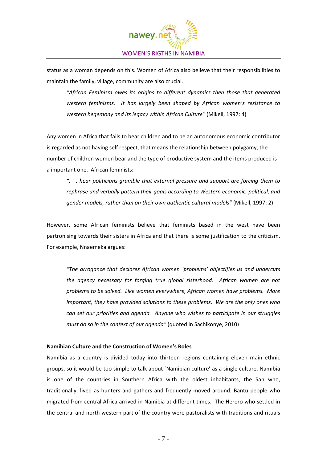

status as a woman depends on this. Women of Africa also believe that their responsibilities to maintain the family, village, community are also crucial.

*"African Feminism owes its origins to different dynamics then those that generated western feminisms. It has largely been shaped by African women's resistance to western hegemony and its legacy within African Culture"* (Mikell, 1997: 4)

Any women in Africa that fails to bear children and to be an autonomous economic contributor is regarded as not having self respect, that means the relationship between polygamy, the number of children women bear and the type of productive system and the items produced is a important one. African feminists:

*". . . hear politicians grumble that external pressure and support are forcing them to rephrase and verbally pattern their goals according to Western economic, political, and gender models, rather than on their own authentic cultural models"* (Mikell, 1997: 2)

However, some African feminists believe that feminists based in the west have been partronising towards their sisters in Africa and that there is some justification to the criticism. For example, Nnaemeka argues:

*"The arrogance that declares African women `problems' objectifies us and undercuts the agency necessary for forging true global sisterhood. African women are not problems to be solved. Like women everywhere, African women have problems. More important, they have provided solutions to these problems. We are the only ones who can set our priorities and agenda. Anyone who wishes to participate in our struggles must do so in the context of our agenda"* (quoted in Sachikonye, 2010)

#### **Namibian Culture and the Construction of Women's Roles**

Namibia as a country is divided today into thirteen regions containing eleven main ethnic groups, so it would be too simple to talk about `Namibian culture' as a single culture. Namibia is one of the countries in Southern Africa with the oldest inhabitants, the San who, traditionally, lived as hunters and gathers and frequently moved around. Bantu people who migrated from central Africa arrived in Namibia at different times. The Herero who settled in the central and north western part of the country were pastoralists with traditions and rituals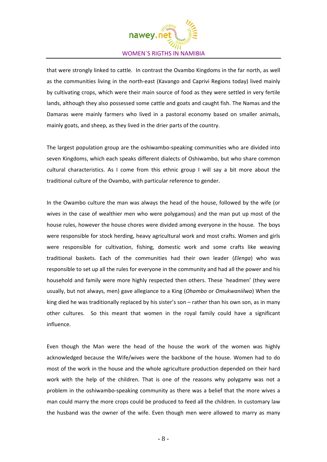

that were strongly linked to cattle. In contrast the Ovambo Kingdoms in the far north, as well as the communities living in the north-east (Kavango and Caprivi Regions today) lived mainly by cultivating crops, which were their main source of food as they were settled in very fertile lands, although they also possessed some cattle and goats and caught fish. The Namas and the Damaras were mainly farmers who lived in a pastoral economy based on smaller animals, mainly goats, and sheep, as they lived in the drier parts of the country.

The largest population group are the oshiwambo‐speaking communities who are divided into seven Kingdoms, which each speaks different dialects of Oshiwambo, but who share common cultural characteristics. As I come from this ethnic group I will say a bit more about the traditional culture of the Ovambo, with particular reference to gender.

In the Owambo culture the man was always the head of the house, followed by the wife (or wives in the case of wealthier men who were polygamous) and the man put up most of the house rules, however the house chores were divided among everyone in the house. The boys were responsible for stock herding, heavy agricultural work and most crafts. Women and girls were responsible for cultivation, fishing, domestic work and some crafts like weaving traditional baskets. Each of the communities had their own leader (*Elenga*) who was responsible to set up all the rules for everyone in the community and had all the power and his household and family were more highly respected then others. These `headmen' (they were usually, but not always, men) gave allegiance to a King (*Ohambo* or *Omukwaniilwa*) When the king died he was traditionally replaced by his sister's son - rather than his own son, as in many other cultures. So this meant that women in the royal family could have a significant influence.

Even though the Man were the head of the house the work of the women was highly acknowledged because the Wife/wives were the backbone of the house. Women had to do most of the work in the house and the whole agriculture production depended on their hard work with the help of the children. That is one of the reasons why polygamy was not a problem in the oshiwambo‐speaking community as there was a belief that the more wives a man could marry the more crops could be produced to feed all the children. In customary law the husband was the owner of the wife. Even though men were allowed to marry as many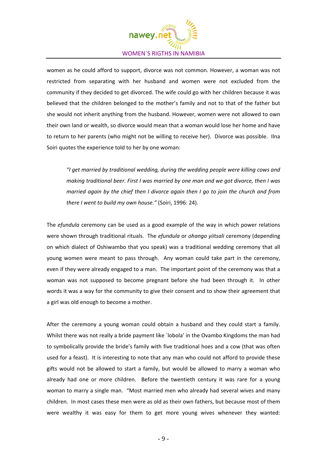

women as he could afford to support, divorce was not common. However, a woman was not restricted from separating with her husband and women were not excluded from the community if they decided to get divorced. The wife could go with her children because it was believed that the children belonged to the mother's family and not to that of the father but she would not inherit anything from the husband. However, women were not allowed to own their own land or wealth, so divorce would mean that a woman would lose her home and have to return to her parents (who might not be willing to receive her). Divorce was possible. Ilna Soiri quotes the experience told to her by one woman:

*"I get married by traditional wedding, during the wedding people were killing cows and making traditional beer. First I was married by one man and we got divorce, then I was married again by the chief then I divorce again then I go to join the church and from there I went to build my own house."* (Soiri, 1996: 24).

The *efundula* ceremony can be used as a good example of the way in which power relations were shown through traditional rituals. The *efundula* or *ohango yiitsali* ceremony (depending on which dialect of Oshiwambo that you speak) was a traditional wedding ceremony that all young women were meant to pass through. Any woman could take part in the ceremony, even if they were already engaged to a man. The important point of the ceremony was that a woman was not supposed to become pregnant before she had been through it. In other words it was a way for the community to give their consent and to show their agreement that a girl was old enough to become a mother.

After the ceremony a young woman could obtain a husband and they could start a family. Whilst there was not really a bride payment like `lobola' in the Ovambo Kingdoms the man had to symbolically provide the bride's family with five traditional hoes and a cow (that was often used for a feast). It is interesting to note that any man who could not afford to provide these gifts would not be allowed to start a family, but would be allowed to marry a woman who already had one or more children. Before the twentieth century it was rare for a young woman to marry a single man. "Most married men who already had several wives and many children. In most cases these men were as old as their own fathers, but because most of them were wealthy it was easy for them to get more young wives whenever they wanted: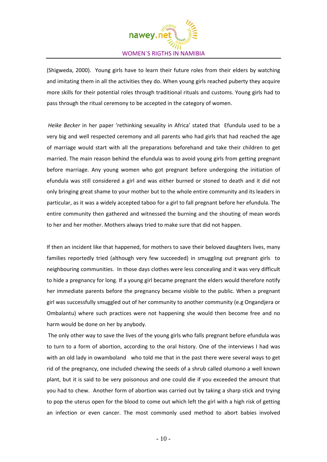

(Shigweda, 2000). Young girls have to learn their future roles from their elders by watching and imitating them in all the activities they do. When young girls reached puberty they acquire more skills for their potential roles through traditional rituals and customs. Young girls had to pass through the ritual ceremony to be accepted in the category of women.

*Heike Becker* in her paper 'rethinking sexuality in Africa' stated that Efundula used to be a very big and well respected ceremony and all parents who had girls that had reached the age of marriage would start with all the preparations beforehand and take their children to get married. The main reason behind the efundula was to avoid young girls from getting pregnant before marriage. Any young women who got pregnant before undergoing the initiation of efundula was still considered a girl and was either burned or stoned to death and it did not only bringing great shame to your mother but to the whole entire community and its leaders in particular, as it was a widely accepted taboo for a girl to fall pregnant before her efundula. The entire community then gathered and witnessed the burning and the shouting of mean words to her and her mother. Mothers always tried to make sure that did not happen.

If then an incident like that happened, for mothers to save their beloved daughters lives, many families reportedly tried (although very few succeeded) in smuggling out pregnant girls to neighbouring communities. In those days clothes were less concealing and it was very difficult to hide a pregnancy for long. If a young girl became pregnant the elders would therefore notify her immediate parents before the pregnancy became visible to the public. When a pregnant girl was successfully smuggled out of her community to another community (e.g Ongandjera or Ombalantu) where such practices were not happening she would then become free and no harm would be done on her by anybody.

The only other way to save the lives of the young girls who falls pregnant before efundula was to turn to a form of abortion, according to the oral history. One of the interviews I had was with an old lady in owamboland who told me that in the past there were several ways to get rid of the pregnancy, one included chewing the seeds of a shrub called olumono a well known plant, but it is said to be very poisonous and one could die if you exceeded the amount that you had to chew. Another form of abortion was carried out by taking a sharp stick and trying to pop the uterus open for the blood to come out which left the girl with a high risk of getting an infection or even cancer. The most commonly used method to abort babies involved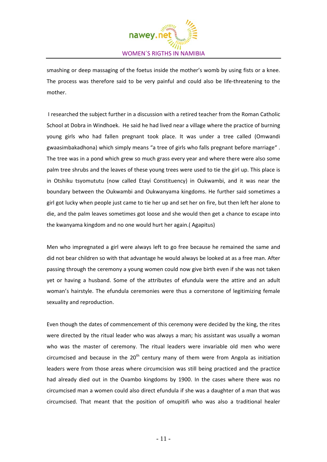

smashing or deep massaging of the foetus inside the mother's womb by using fists or a knee. The process was therefore said to be very painful and could also be life-threatening to the mother.

I researched the subject further in a discussion with a retired teacher from the Roman Catholic School at Dobra in Windhoek. He said he had lived near a village where the practice of burning young girls who had fallen pregnant took place. It was under a tree called (Omwandi gwaasimbakadhona) which simply means "a tree of girls who falls pregnant before marriage" . The tree was in a pond which grew so much grass every year and where there were also some palm tree shrubs and the leaves of these young trees were used to tie the girl up. This place is in Otshiku tsyomututu (now called Etayi Constituency) in Oukwambi, and it was near the boundary between the Oukwambi and Oukwanyama kingdoms. He further said sometimes a girl got lucky when people just came to tie her up and set her on fire, but then left her alone to die, and the palm leaves sometimes got loose and she would then get a chance to escape into the kwanyama kingdom and no one would hurt her again.( Agapitus)

Men who impregnated a girl were always left to go free because he remained the same and did not bear children so with that advantage he would always be looked at as a free man. After passing through the ceremony a young women could now give birth even if she was not taken yet or having a husband. Some of the attributes of efundula were the attire and an adult woman's hairstyle. The efundula ceremonies were thus a cornerstone of legitimizing female sexuality and reproduction.

Even though the dates of commencement of this ceremony were decided by the king, the rites were directed by the ritual leader who was always a man; his assistant was usually a woman who was the master of ceremony. The ritual leaders were invariable old men who were circumcised and because in the  $20<sup>th</sup>$  century many of them were from Angola as initiation leaders were from those areas where circumcision was still being practiced and the practice had already died out in the Ovambo kingdoms by 1900. In the cases where there was no circumcised man a women could also direct efundula if she was a daughter of a man that was circumcised. That meant that the position of omupitifi who was also a traditional healer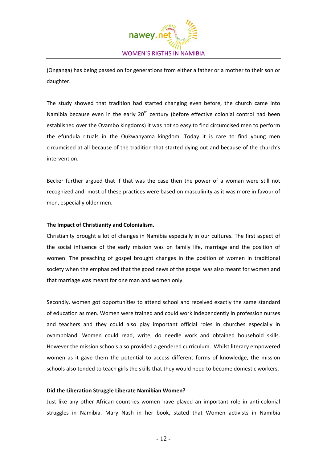

(Onganga) has being passed on for generations from either a father or a mother to their son or daughter.

The study showed that tradition had started changing even before, the church came into Namibia because even in the early  $20<sup>th</sup>$  century (before effective colonial control had been established over the Ovambo kingdoms) it was not so easy to find circumcised men to perform the efundula rituals in the Oukwanyama kingdom. Today it is rare to find young men circumcised at all because of the tradition that started dying out and because of the church's intervention.

Becker further argued that if that was the case then the power of a woman were still not recognized and most of these practices were based on masculinity as it was more in favour of men, especially older men.

# **The Impact of Christianity and Colonialism.**

Christianity brought a lot of changes in Namibia especially in our cultures. The first aspect of the social influence of the early mission was on family life, marriage and the position of women. The preaching of gospel brought changes in the position of women in traditional society when the emphasized that the good news of the gospel was also meant for women and that marriage was meant for one man and women only.

Secondly, women got opportunities to attend school and received exactly the same standard of education as men. Women were trained and could work independently in profession nurses and teachers and they could also play important official roles in churches especially in ovamboland. Women could read, write, do needle work and obtained household skills. However the mission schools also provided a gendered curriculum. Whilst literacy empowered women as it gave them the potential to access different forms of knowledge, the mission schools also tended to teach girls the skills that they would need to become domestic workers.

#### **Did the Liberation Struggle Liberate Namibian Women?**

Just like any other African countries women have played an important role in anti‐colonial struggles in Namibia. Mary Nash in her book, stated that Women activists in Namibia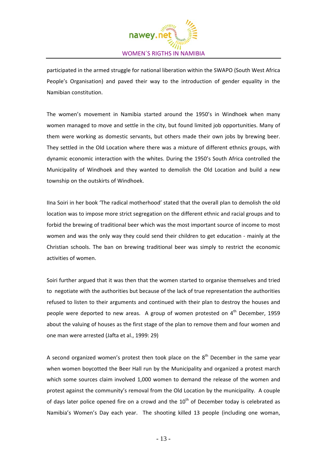

participated in the armed struggle for national liberation within the SWAPO (South West Africa People's Organisation) and paved their way to the introduction of gender equality in the Namibian constitution.

The women's movement in Namibia started around the 1950's in Windhoek when many women managed to move and settle in the city, but found limited job opportunities. Many of them were working as domestic servants, but others made their own jobs by brewing beer. They settled in the Old Location where there was a mixture of different ethnics groups, with dynamic economic interaction with the whites. During the 1950's South Africa controlled the Municipality of Windhoek and they wanted to demolish the Old Location and build a new township on the outskirts of Windhoek.

IIna Soiri in her book 'The radical motherhood' stated that the overall plan to demolish the old location was to impose more strict segregation on the different ethnic and racial groups and to forbid the brewing of traditional beer which was the most important source of income to most women and was the only way they could send their children to get education - mainly at the Christian schools. The ban on brewing traditional beer was simply to restrict the economic activities of women.

Soiri further argued that it was then that the women started to organise themselves and tried to negotiate with the authorities but because of the lack of true representation the authorities refused to listen to their arguments and continued with their plan to destroy the houses and people were deported to new areas. A group of women protested on  $4<sup>th</sup>$  December, 1959 about the valuing of houses as the first stage of the plan to remove them and four women and one man were arrested (Jafta et al., 1999: 29)

A second organized women's protest then took place on the  $8<sup>th</sup>$  December in the same year when women boycotted the Beer Hall run by the Municipality and organized a protest march which some sources claim involved 1,000 women to demand the release of the women and protest against the community's removal from the Old Location by the municipality. A couple of days later police opened fire on a crowd and the  $10<sup>th</sup>$  of December today is celebrated as Namibia's Women's Day each year. The shooting killed 13 people (including one woman,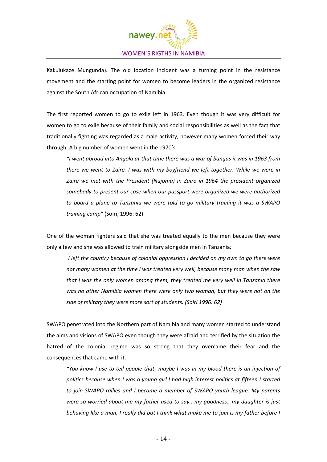

Kakulukaze Mungunda). The old location incident was a turning point in the resistance movement and the starting point for women to become leaders in the organized resistance against the South African occupation of Namibia.

The first reported women to go to exile left in 1963. Even though it was very difficult for women to go to exile because of their family and social responsibilities as well as the fact that traditionally fighting was regarded as a male activity, however many women forced their way through. A big number of women went in the 1970's.

*"I went abroad into Angola at that time there was a war of bangas it was in 1963 from there we went to Zaire. I was with my boyfriend we left together. While we were in Zaire we met with the President (Nujoma) in Zaire in 1964 the president organized somebody to present our case when our passport were organized we were authorized to board a plane to Tanzania we were told to go military training it was a SWAPO training camp"* (Soiri, 1996: 62)

One of the woman fighters said that she was treated equally to the men because they were only a few and she was allowed to train military alongside men in Tanzania*:*

*I left the country because of colonial oppression I decided on my own to go there were not many women at the time I was treated very well, because many man when the saw that I was the only women among them, they treated me very well in Tanzania there was no other Namibia women there were only two woman, but they were not on the side of military they were more sort of students. (Soiri 1996: 62)*

SWAPO penetrated into the Northern part of Namibia and many women started to understand the aims and visions of SWAPO even though they were afraid and terrified by the situation the hatred of the colonial regime was so strong that they overcame their fear and the consequences that came with it.

"You know I use to tell people that maybe I was in my blood there is an injection of *politics because when I was a young girl I had high interest politics at fifteen I started to join SWAPO rallies and I became a member of SWAPO youth league. My parents were so worried about me my father used to say.. my goodness.. my daughter is just* behaving like a man, I really did but I think what make me to join is my father before I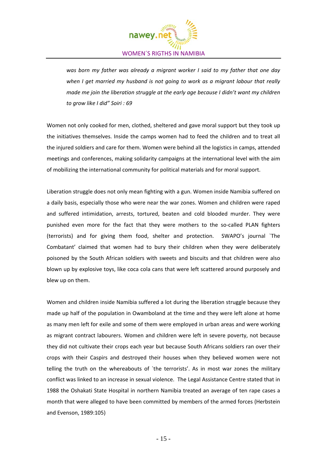

*was born my father was already a migrant worker I said to my father that one day when I get married my husband is not going to work as a migrant labour that really made me join the liberation struggle at the early age because I didn't want my children to grow like I did" Soiri : 69*

Women not only cooked for men, clothed, sheltered and gave moral support but they took up the initiatives themselves. Inside the camps women had to feed the children and to treat all the injured soldiers and care for them. Women were behind all the logistics in camps, attended meetings and conferences, making solidarity campaigns at the international level with the aim of mobilizing the international community for political materials and for moral support.

Liberation struggle does not only mean fighting with a gun. Women inside Namibia suffered on a daily basis, especially those who were near the war zones. Women and children were raped and suffered intimidation, arrests, tortured, beaten and cold blooded murder. They were punished even more for the fact that they were mothers to the so-called PLAN fighters (terrorists) and for giving them food, shelter and protection. SWAPO's journal `The Combatant' claimed that women had to bury their children when they were deliberately poisoned by the South African soldiers with sweets and biscuits and that children were also blown up by explosive toys, like coca cola cans that were left scattered around purposely and blew up on them.

Women and children inside Namibia suffered a lot during the liberation struggle because they made up half of the population in Owamboland at the time and they were left alone at home as many men left for exile and some of them were employed in urban areas and were working as migrant contract labourers. Women and children were left in severe poverty, not because they did not cultivate their crops each year but because South Africans soldiers ran over their crops with their Caspirs and destroyed their houses when they believed women were not telling the truth on the whereabouts of `the terrorists'. As in most war zones the military conflict was linked to an increase in sexual violence. The Legal Assistance Centre stated that in 1988 the Oshakati State Hospital in northern Namibia treated an average of ten rape cases a month that were alleged to have been committed by members of the armed forces (Herbstein and Evenson, 1989:105)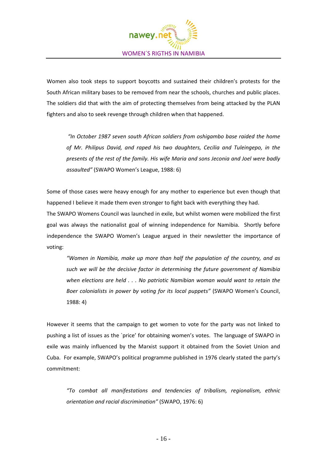

Women also took steps to support boycotts and sustained their children's protests for the South African military bases to be removed from near the schools, churches and public places. The soldiers did that with the aim of protecting themselves from being attacked by the PLAN fighters and also to seek revenge through children when that happened.

*"In October 1987 seven south African soldiers from oshigambo base raided the home of Mr. Philipus David, and raped his two daughters, Cecilia and Tuleingepo, in the presents of the rest of the family. His wife Maria and sons Jeconia and Joel were badly assaulted"* (SWAPO Women's League, 1988: 6)

Some of those cases were heavy enough for any mother to experience but even though that happened I believe it made them even stronger to fight back with everything they had.

The SWAPO Womens Council was launched in exile, but whilst women were mobilized the first goal was always the nationalist goal of winning independence for Namibia. Shortly before independence the SWAPO Women's League argued in their newsletter the importance of voting:

*"Women in Namibia, make up more than half the population of the country, and as such we will be the decisive factor in determining the future government of Namibia when elections are held . . . No patriotic Namibian woman would want to retain the Boer colonialists in power by voting for its local puppets"* (SWAPO Women's Council, 1988: 4)

However it seems that the campaign to get women to vote for the party was not linked to pushing a list of issues as the `price' for obtaining women's votes. The language of SWAPO in exile was mainly influenced by the Marxist support it obtained from the Soviet Union and Cuba. For example, SWAPO's political programme published in 1976 clearly stated the party's commitment:

*"To combat all manifestations and tendencies of tribalism, regionalism, ethnic orientation and racial discrimination"* (SWAPO, 1976: 6)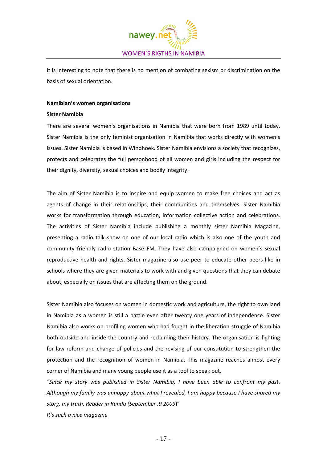

It is interesting to note that there is no mention of combating sexism or discrimination on the basis of sexual orientation.

# **Namibian's women organisations**

#### **Sister Namibia**

There are several women's organisations in Namibia that were born from 1989 until today. Sister Namibia is the only feminist organisation in Namibia that works directly with women's issues. Sister Namibia is based in Windhoek. Sister Namibia envisions a society that recognizes, protects and celebrates the full personhood of all women and girls including the respect for their dignity, diversity, sexual choices and bodily integrity.

The aim of Sister Namibia is to inspire and equip women to make free choices and act as agents of change in their relationships, their communities and themselves. Sister Namibia works for transformation through education, information collective action and celebrations. The activities of Sister Namibia include publishing a monthly sister Namibia Magazine, presenting a radio talk show on one of our local radio which is also one of the youth and community friendly radio station Base FM. They have also campaigned on women's sexual reproductive health and rights. Sister magazine also use peer to educate other peers like in schools where they are given materials to work with and given questions that they can debate about, especially on issues that are affecting them on the ground.

Sister Namibia also focuses on women in domestic work and agriculture, the right to own land in Namibia as a women is still a battle even after twenty one years of independence. Sister Namibia also works on profiling women who had fought in the liberation struggle of Namibia both outside and inside the country and reclaiming their history. The organisation is fighting for law reform and change of policies and the revising of our constitution to strengthen the protection and the recognition of women in Namibia. This magazine reaches almost every corner of Namibia and many young people use it as a tool to speak out.

*"Since my story was published in Sister Namibia, I have been able to confront my past. Although my family was unhappy about what I revealed, I am happy because I have shared my story, my truth. Reader in Rundu (September :9 2009*)"

*It's such a nice magazine*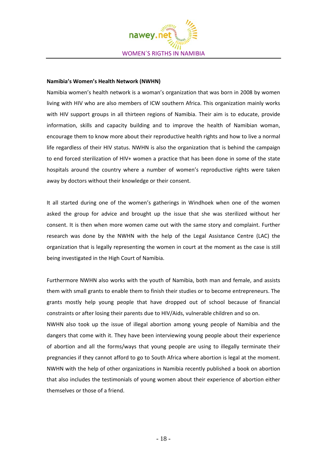

# **Namibia's Women's Health Network (NWHN)**

Namibia women's health network is a woman's organization that was born in 2008 by women living with HIV who are also members of ICW southern Africa. This organization mainly works with HIV support groups in all thirteen regions of Namibia. Their aim is to educate, provide information, skills and capacity building and to improve the health of Namibian woman, encourage them to know more about their reproductive health rights and how to live a normal life regardless of their HIV status. NWHN is also the organization that is behind the campaign to end forced sterilization of HIV+ women a practice that has been done in some of the state hospitals around the country where a number of women's reproductive rights were taken away by doctors without their knowledge or their consent.

It all started during one of the women's gatherings in Windhoek when one of the women asked the group for advice and brought up the issue that she was sterilized without her consent. It is then when more women came out with the same story and complaint. Further research was done by the NWHN with the help of the Legal Assistance Centre (LAC) the organization that is legally representing the women in court at the moment as the case is still being investigated in the High Court of Namibia.

Furthermore NWHN also works with the youth of Namibia, both man and female, and assists them with small grants to enable them to finish their studies or to become entrepreneurs. The grants mostly help young people that have dropped out of school because of financial constraints or after losing their parents due to HIV/Aids, vulnerable children and so on.

NWHN also took up the issue of illegal abortion among young people of Namibia and the dangers that come with it. They have been interviewing young people about their experience of abortion and all the forms/ways that young people are using to illegally terminate their pregnancies if they cannot afford to go to South Africa where abortion is legal at the moment. NWHN with the help of other organizations in Namibia recently published a book on abortion that also includes the testimonials of young women about their experience of abortion either themselves or those of a friend.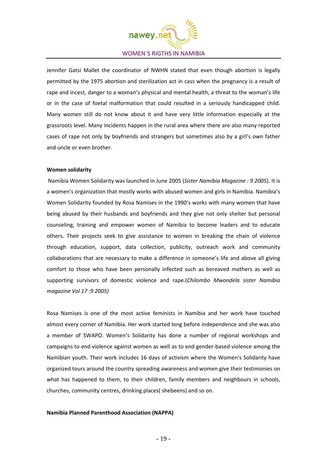

Jennifer Gatsi Mallet the coordinator of NWHN stated that even though abortion is legally permitted by the 1975 abortion and sterilization act in cass when the pregnancy is a result of rape and incest, danger to a woman's physical and mental health, a threat to the woman's life or in the case of foetal malformation that could resulted in a seriously handicapped child. Many women still do not know about it and have very little information especially at the grassroots level. Many incidents happen in the rural area where there are also many reported cases of rape not only by boyfriends and strangers but sometimes also by a girl's own father and uncle or even brother.

#### **Women solidarity**

Namibia Women Solidarity was launched in June 2005 (*Sister Namibia Magazine : 9 2005*). It is a women's organization that mostly works with abused women and girls in Namibia. Namibia's Women Solidarity founded by Rosa Namises in the 1990's works with many women that have being abused by their husbands and boyfriends and they give not only shelter but personal counseling, training and empower women of Namibia to become leaders and to educate others. Their projects seek to give assistance to women in breaking the chain of violence through education, support, data collection, publicity, outreach work and community collaborations that are necessary to make a difference in someone's life and above all giving comfort to those who have been personally infected such as bereaved mothers as well as supporting survivors of domestic violence and rape.(*Chilombo Mwondela sister Namibia magazine Vol 17 :9 2005)*

Rosa Namises is one of the most active feminists in Namibia and her work have touched almost every corner of Namibia. Her work started long before independence and she was also a member of SWAPO. Women's Solidarity has done a number of regional workshops and campaigns to end violence against women as well as to end gender‐based violence among the Namibian youth. Their work includes 16 days of activism where the Women's Solidarity have organized tours around the country spreading awareness and women give their testimonies on what has happened to them, to their children, family members and neighbours in schools, churches, community centres, drinking places( shebeens) and so on.

#### **Namibia Planned Parenthood Association (NAPPA)**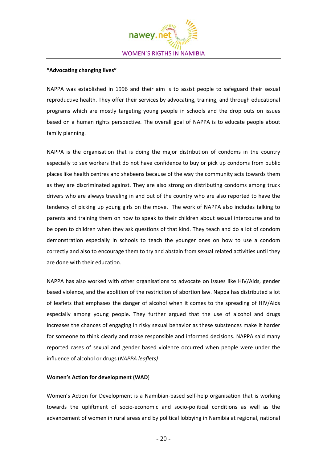

# **"Advocating changing lives"**

NAPPA was established in 1996 and their aim is to assist people to safeguard their sexual reproductive health. They offer their services by advocating, training, and through educational programs which are mostly targeting young people in schools and the drop outs on issues based on a human rights perspective. The overall goal of NAPPA is to educate people about family planning.

NAPPA is the organisation that is doing the major distribution of condoms in the country especially to sex workers that do not have confidence to buy or pick up condoms from public places like health centres and shebeens because of the way the community acts towards them as they are discriminated against. They are also strong on distributing condoms among truck drivers who are always traveling in and out of the country who are also reported to have the tendency of picking up young girls on the move. The work of NAPPA also includes talking to parents and training them on how to speak to their children about sexual intercourse and to be open to children when they ask questions of that kind. They teach and do a lot of condom demonstration especially in schools to teach the younger ones on how to use a condom correctly and also to encourage them to try and abstain from sexual related activities until they are done with their education.

NAPPA has also worked with other organisations to advocate on issues like HIV/Aids, gender based violence, and the abolition of the restriction of abortion law. Nappa has distributed a lot of leaflets that emphases the danger of alcohol when it comes to the spreading of HIV/Aids especially among young people. They further argued that the use of alcohol and drugs increases the chances of engaging in risky sexual behavior as these substences make it harder for someone to think clearly and make responsible and informed decisions. NAPPA said many reported cases of sexual and gender based violence occurred when people were under the influence of alcohol or drugs (*NAPPA leaflets)* 

#### **Women's Action for development (WAD**)

Women's Action for Development is a Namibian‐based self‐help organisation that is working towards the upliftment of socio‐economic and socio‐political conditions as well as the advancement of women in rural areas and by political lobbying in Namibia at regional, national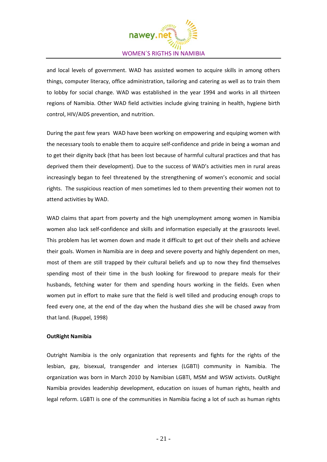

and local levels of government. WAD has assisted women to acquire skills in among others things, computer literacy, office administration, tailoring and catering as well as to train them to lobby for social change. WAD was established in the year 1994 and works in all thirteen regions of Namibia. Other WAD field activities include giving training in health, hygiene birth control, HIV/AIDS prevention, and nutrition.

During the past few years WAD have been working on empowering and equiping women with the necessary tools to enable them to acquire self‐confidence and pride in being a woman and to get their dignity back (that has been lost because of harmful cultural practices and that has deprived them their development). Due to the success of WAD's activities men in rural areas increasingly began to feel threatened by the strengthening of women's economic and social rights. The suspicious reaction of men sometimes led to them preventing their women not to attend activities by WAD.

WAD claims that apart from poverty and the high unemployment among women in Namibia women also lack self-confidence and skills and information especially at the grassroots level. This problem has let women down and made it difficult to get out of their shells and achieve their goals. Women in Namibia are in deep and severe poverty and highly dependent on men, most of them are still trapped by their cultural beliefs and up to now they find themselves spending most of their time in the bush looking for firewood to prepare meals for their husbands, fetching water for them and spending hours working in the fields. Even when women put in effort to make sure that the field is well tilled and producing enough crops to feed every one, at the end of the day when the husband dies she will be chased away from that land. (Ruppel, 1998)

# **OutRight Namibia**

Outright Namibia is the only organization that represents and fights for the rights of the lesbian, gay, bisexual, transgender and intersex (LGBTI) community in Namibia. The organization was born in March 2010 by Namibian LGBTI, MSM and WSW activists. OutRight Namibia provides leadership development, education on issues of human rights, health and legal reform. LGBTI is one of the communities in Namibia facing a lot of such as human rights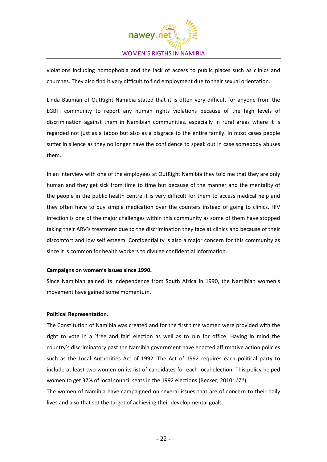

violations including homophobia and the lack of access to public places such as clinics and churches. They also find it very difficult to find employment due to their sexual orientation.

Linda Bauman of OutRight Namibia stated that it is often very difficult for anyone from the LGBTI community to report any human rights violations because of the high levels of discrimination against them in Namibian communities, especially in rural areas where it is regarded not just as a taboo but also as a disgrace to the entire family. In most cases people suffer in silence as they no longer have the confidence to speak out in case somebody abuses them.

In an interview with one of the employees at OutRight Namibia they told me that they are only human and they get sick from time to time but because of the manner and the mentality of the people in the public health centre it is very difficult for them to access medical help and they often have to buy simple medication over the counters instead of going to clinics. HIV infection is one of the major challenges within this community as some of them have stopped taking their ARV's treatment due to the discrimination they face at clinics and because of their discomfort and low self esteem. Confidentiality is also a major concern for this community as since it is common for health workers to divulge confidential information.

#### **Campaigns on women's issues since 1990.**

Since Namibian gained its independence from South Africa in 1990, the Namibian women's movement have gained some momentum.

# **Political Representation.**

The Constitution of Namibia was created and for the first time women were provided with the right to vote in a `free and fair' election as well as to run for office. Having in mind the country's discriminatory past the Namibia government have enacted affirmative action policies such as the Local Authorities Act of 1992. The Act of 1992 requires each political party to include at least two women on its list of candidates for each local election. This policy helped women to get 37% of local council seats in the 1992 elections (Becker, 2010*: 171*) The women of Namibia have campaigned on several issues that are of concern to their daily

lives and also that set the target of achieving their developmental goals.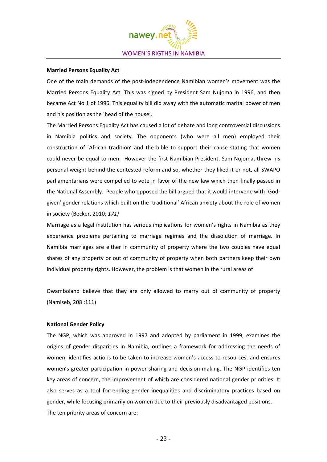

#### **Married Persons Equality Act**

One of the main demands of the post‐independence Namibian women's movement was the Married Persons Equality Act. This was signed by President Sam Nujoma in 1996, and then became Act No 1 of 1996. This equality bill did away with the automatic marital power of men and his position as the `head of the house'.

The Married Persons Equality Act has caused a lot of debate and long controversial discussions in Namibia politics and society. The opponents (who were all men) employed their construction of `African tradition' and the bible to support their cause stating that women could never be equal to men. However the first Namibian President, Sam Nujoma, threw his personal weight behind the contested reform and so, whether they liked it or not, all SWAPO parliamentarians were compelled to vote in favor of the new law which then finally passed in the National Assembly. People who opposed the bill argued that it would intervene with `God‐ given' gender relations which built on the `traditional' African anxiety about the role of women in society (Becker, 2010*: 171)*

Marriage as a legal institution has serious implications for women's rights in Namibia as they experience problems pertaining to marriage regimes and the dissolution of marriage. In Namibia marriages are either in community of property where the two couples have equal shares of any property or out of community of property when both partners keep their own individual property rights. However, the problem is that women in the rural areas of

Owamboland believe that they are only allowed to marry out of community of property (Namiseb, 208 :111)

# **National Gender Policy**

The NGP, which was approved in 1997 and adopted by parliament in 1999, examines the origins of gender disparities in Namibia, outlines a framework for addressing the needs of women, identifies actions to be taken to increase women's access to resources, and ensures women's greater participation in power-sharing and decision-making. The NGP identifies ten key areas of concern, the improvement of which are considered national gender priorities. It also serves as a tool for ending gender inequalities and discriminatory practices based on gender, while focusing primarily on women due to their previously disadvantaged positions. The ten priority areas of concern are: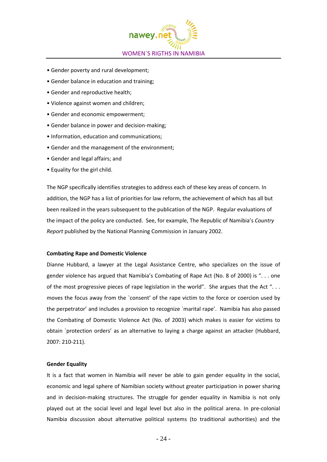

- Gender poverty and rural development;
- Gender balance in education and training;
- Gender and reproductive health;
- Violence against women and children;
- Gender and economic empowerment;
- Gender balance in power and decision‐making;
- Information, education and communications;
- Gender and the management of the environment;
- Gender and legal affairs; and
- Equality for the girl child.

The NGP specifically identifies strategies to address each of these key areas of concern. In addition, the NGP has a list of priorities for law reform, the achievement of which has all but been realized in the years subsequent to the publication of the NGP. Regular evaluations of the impact of the policy are conducted. See, for example, The Republic of Namibia's *Country Report* published by the National Planning Commission in January 2002.

# **Combating Rape and Domestic Violence**

Dianne Hubbard, a lawyer at the Legal Assistance Centre, who specializes on the issue of gender violence has argued that Namibia's Combating of Rape Act (No. 8 of 2000) is ". . . one of the most progressive pieces of rape legislation in the world". She argues that the Act "... moves the focus away from the `consent' of the rape victim to the force or coercion used by the perpetrator' and includes a provision to recognize `marital rape'. Namibia has also passed the Combating of Domestic Violence Act (No. of 2003) which makes is easier for victims to obtain `protection orders' as an alternative to laying a charge against an attacker (Hubbard, 2007: 210‐211).

# **Gender Equality**

It is a fact that women in Namibia will never be able to gain gender equality in the social, economic and legal sphere of Namibian society without greater participation in power sharing and in decision-making structures. The struggle for gender equality in Namibia is not only played out at the social level and legal level but also in the political arena. In pre‐colonial Namibia discussion about alternative political systems (to traditional authorities) and the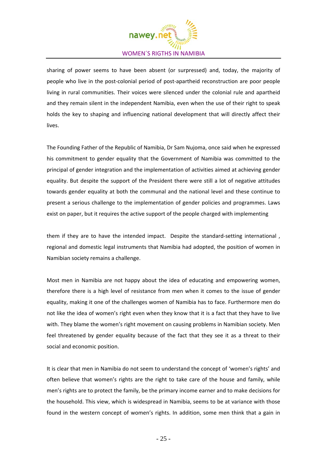

sharing of power seems to have been absent (or surpressed) and, today, the majority of people who live in the post‐colonial period of post‐apartheid reconstruction are poor people living in rural communities. Their voices were silenced under the colonial rule and apartheid and they remain silent in the independent Namibia, even when the use of their right to speak holds the key to shaping and influencing national development that will directly affect their lives.

The Founding Father of the Republic of Namibia, Dr Sam Nujoma, once said when he expressed his commitment to gender equality that the Government of Namibia was committed to the principal of gender integration and the implementation of activities aimed at achieving gender equality. But despite the support of the President there were still a lot of negative attitudes towards gender equality at both the communal and the national level and these continue to present a serious challenge to the implementation of gender policies and programmes. Laws exist on paper, but it requires the active support of the people charged with implementing

them if they are to have the intended impact. Despite the standard-setting international, regional and domestic legal instruments that Namibia had adopted, the position of women in Namibian society remains a challenge.

Most men in Namibia are not happy about the idea of educating and empowering women, therefore there is a high level of resistance from men when it comes to the issue of gender equality, making it one of the challenges women of Namibia has to face. Furthermore men do not like the idea of women's right even when they know that it is a fact that they have to live with. They blame the women's right movement on causing problems in Namibian society. Men feel threatened by gender equality because of the fact that they see it as a threat to their social and economic position.

It is clear that men in Namibia do not seem to understand the concept of 'women's rights' and often believe that women's rights are the right to take care of the house and family, while men's rights are to protect the family, be the primary income earner and to make decisions for the household. This view, which is widespread in Namibia, seems to be at variance with those found in the western concept of women's rights. In addition, some men think that a gain in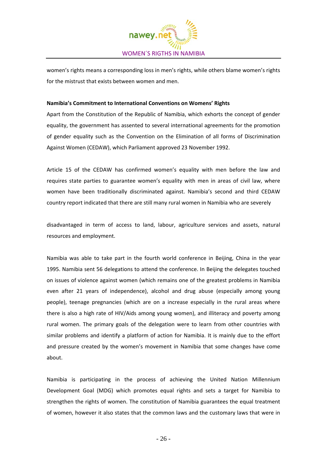

women's rights means a corresponding loss in men's rights, while others blame women's rights for the mistrust that exists between women and men.

# **Namibia's Commitment to International Conventions on Womens' Rights**

Apart from the Constitution of the Republic of Namibia, which exhorts the concept of gender equality, the government has assented to several international agreements for the promotion of gender equality such as the Convention on the Elimination of all forms of Discrimination Against Women (CEDAW), which Parliament approved 23 November 1992.

Article 15 of the CEDAW has confirmed women's equality with men before the law and requires state parties to guarantee women's equality with men in areas of civil law, where women have been traditionally discriminated against. Namibia's second and third CEDAW country report indicated that there are still many rural women in Namibia who are severely

disadvantaged in term of access to land, labour, agriculture services and assets, natural resources and employment.

Namibia was able to take part in the fourth world conference in Beijing, China in the year 1995. Namibia sent 56 delegations to attend the conference. In Beijing the delegates touched on issues of violence against women (which remains one of the greatest problems in Namibia even after 21 years of independence), alcohol and drug abuse (especially among young people), teenage pregnancies (which are on a increase especially in the rural areas where there is also a high rate of HIV/Aids among young women), and illiteracy and poverty among rural women. The primary goals of the delegation were to learn from other countries with similar problems and identify a platform of action for Namibia. It is mainly due to the effort and pressure created by the women's movement in Namibia that some changes have come about.

Namibia is participating in the process of achieving the United Nation Millennium Development Goal (MDG) which promotes equal rights and sets a target for Namibia to strengthen the rights of women. The constitution of Namibia guarantees the equal treatment of women, however it also states that the common laws and the customary laws that were in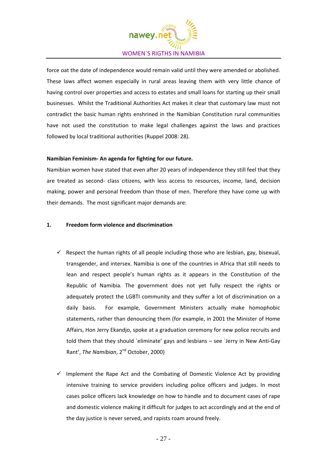

force oat the date of independence would remain valid until they were amended or abolished. These laws affect women especially in rural areas leaving them with very little chance of having control over properties and access to estates and small loans for starting up their small businesses. Whilst the Traditional Authorities Act makes it clear that customary law must not contradict the basic human rights enshrined in the Namibian Constitution rural communities have not used the constitution to make legal challenges against the laws and practices followed by local traditional authorities (Ruppel 2008: 28).

# **Namibian Feminism‐ An agenda for fighting for our future.**

Namibian women have stated that even after 20 years of independence they still feel that they are treated as second- class citizens, with less access to resources, income, land, decision making, power and personal freedom than those of men. Therefore they have come up with their demands. The most significant major demands are:

# **1. Freedom form violence and discrimination**

- $\checkmark$  Respect the human rights of all people including those who are lesbian, gay, bisexual, transgender, and intersex. Namibia is one of the countries in Africa that still needs to lean and respect people's human rights as it appears in the Constitution of the Republic of Namibia. The government does not yet fully respect the rights or adequately protect the LGBTI community and they suffer a lot of discrimination on a daily basis. For example, Government Ministers actually make homophobic statements, rather than denouncing them (for example, in 2001 the Minister of Home Affairs, Hon Jerry Ekandjo, spoke at a graduation ceremony for new police recruits and told them that they should `eliminate' gays and lesbians – see `Jerry in New Anti‐Gay Rant', *The Namibian*, 2nd October, 2000)
- Implement the Rape Act and the Combating of Domestic Violence Act by providing intensive training to service providers including police officers and judges. In most cases police officers lack knowledge on how to handle and to document cases of rape and domestic violence making it difficult for judges to act accordingly and at the end of the day justice is never served, and rapists roam around freely.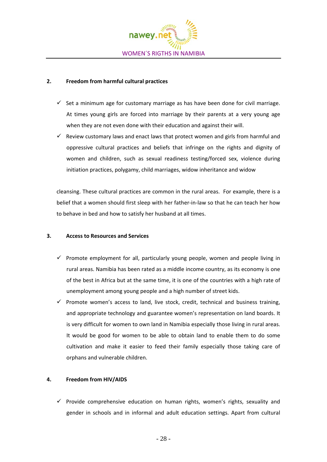

# **2. Freedom from harmful cultural practices**

- $\checkmark$  Set a minimum age for customary marriage as has have been done for civil marriage. At times young girls are forced into marriage by their parents at a very young age when they are not even done with their education and against their will.
- $\checkmark$  Review customary laws and enact laws that protect women and girls from harmful and oppressive cultural practices and beliefs that infringe on the rights and dignity of women and children, such as sexual readiness testing/forced sex, violence during initiation practices, polygamy, child marriages, widow inheritance and widow

cleansing. These cultural practices are common in the rural areas. For example, there is a belief that a women should first sleep with her father‐in‐law so that he can teach her how to behave in bed and how to satisfy her husband at all times.

# **3. Access to Resources and Services**

- $\checkmark$  Promote employment for all, particularly young people, women and people living in rural areas. Namibia has been rated as a middle income country, as its economy is one of the best in Africa but at the same time, it is one of the countries with a high rate of unemployment among young people and a high number of street kids.
- $\checkmark$  Promote women's access to land, live stock, credit, technical and business training, and appropriate technology and guarantee women's representation on land boards. It is very difficult for women to own land in Namibia especially those living in rural areas. It would be good for women to be able to obtain land to enable them to do some cultivation and make it easier to feed their family especially those taking care of orphans and vulnerable children.

# **4. Freedom from HIV/AIDS**

 $\checkmark$  Provide comprehensive education on human rights, women's rights, sexuality and gender in schools and in informal and adult education settings. Apart from cultural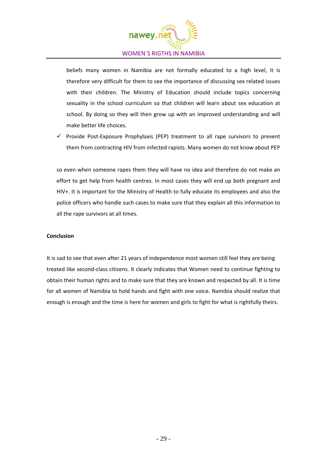

beliefs many women in Namibia are not formally educated to a high level, it is therefore very difficult for them to see the importance of discussing sex related issues with their children. The Ministry of Education should include topics concerning sexuality in the school curriculum so that children will learn about sex education at school. By doing so they will then grow up with an improved understanding and will make better life choices.

 $\checkmark$  Provide Post-Exposure Prophylaxis (PEP) treatment to all rape survivors to prevent them from contracting HIV from infected rapists. Many women do not know about PEP

so even when someone rapes them they will have no idea and therefore do not make an effort to get help from health centres. In most cases they will end up both pregnant and HIV+. It is important for the Ministry of Health to fully educate its employees and also the police officers who handle such cases to make sure that they explain all this information to all the rape survivors at all times.

# **Conclusion**

It is sad to see that even after 21 years of independence most women still feel they are being treated like second‐class citizens. It clearly indicates that Women need to continue fighting to obtain their human rights and to make sure that they are known and respected by all. It is time for all women of Namibia to hold hands and fight with one voice. Namibia should realize that enough is enough and the time is here for women and girls to fight for what is rightfully theirs.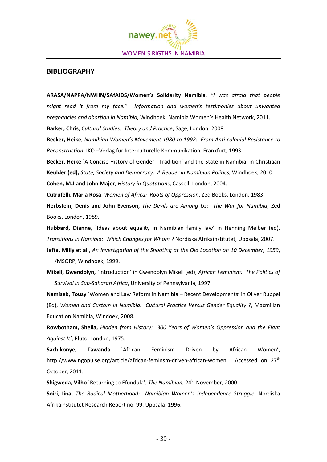

# **BIBLIOGRAPHY**

**ARASA/NAPPA/NWHN/SAfAIDS/Women's Solidarity Namibia**, *"I was afraid that people might read it from my face." Information and women's testimonies about unwanted pregnancies and abortion in Namibia,* Windhoek, Namibia Women's Health Network, 2011.

**Barker, Chris**, *Cultural Studies: Theory and Practice*, Sage, London, 2008.

**Becker, Heike**, *Namibian Women's Movement 1980 to 1992: From Anti‐colonial Resistance to Reconstruction*, IKO –Verlag fur Interkulturelle Kommunikation, Frankfurt, 1993.

**Becker, Heike** `A Concise History of Gender, `Tradition' and the State in Namibia, in Christiaan **Keulder (ed),** *State, Society and Democracy: A Reader in Namibian Politics*, Windhoek, 2010.

**Cohen, M.J and John Major**, *History in Quotations*, Cassell, London, 2004.

**Cutrufelli, Maria Rosa**, *Women of Africa: Roots of Oppression*, Zed Books, London, 1983.

**Herbstein, Denis and John Evenson,** *The Devils are Among Us: The War for Namibia*, Zed Books, London, 1989.

**Hubbard, Dianne**, `Ideas about equality in Namibian family law' in Henning Melber (ed), *Transitions in Namibia: Which Changes for Whom ?* Nordiska Afrikainstitutet, Uppsala, 2007.

**Jafta, Milly et al**., *An Investigation of the Shooting at the Old Location on 10 December, 1959*, /MSORP, Windhoek, 1999.

**Mikell, Gwendolyn,** `Introduction' in Gwendolyn Mikell (ed), *African Feminism: The Politics of Survival in Sub‐Saharan Africa*, University of Pennsylvania, 1997.

**Namiseb, Tousy** `Women and Law Reform in Namibia – Recent Developments' in Oliver Ruppel (Ed), *Women and Custom in Namibia: Cultural Practice Versus Gender Equality ?*, Macmillan Education Namibia, Windoek, 2008.

**Rowbotham, Sheila,** *Hidden from History: 300 Years of Women's Oppression and the Fight Against It'*, Pluto, London, 1975.

**Sachikonye, Tawanda** `African Feminism Driven by African Women', http://www.ngopulse.org/article/african-feminsm-driven-african-women. Accessed on 27<sup>th</sup> October, 2011.

**Shigweda, Vilho** `Returning to Efundula', *The Namibian*, 24th November, 2000.

**Soiri, Iina,** *The Radical Motherhood: Namibian Women's Independence Struggle*, Nordiska Afrikainstitutet Research Report no. 99, Uppsala, 1996.